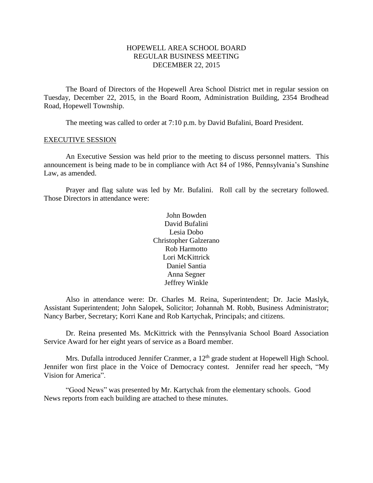# HOPEWELL AREA SCHOOL BOARD REGULAR BUSINESS MEETING DECEMBER 22, 2015

The Board of Directors of the Hopewell Area School District met in regular session on Tuesday, December 22, 2015, in the Board Room, Administration Building, 2354 Brodhead Road, Hopewell Township.

The meeting was called to order at 7:10 p.m. by David Bufalini, Board President.

#### EXECUTIVE SESSION

An Executive Session was held prior to the meeting to discuss personnel matters. This announcement is being made to be in compliance with Act 84 of 1986, Pennsylvania's Sunshine Law, as amended.

Prayer and flag salute was led by Mr. Bufalini. Roll call by the secretary followed. Those Directors in attendance were:

> John Bowden David Bufalini Lesia Dobo Christopher Galzerano Rob Harmotto Lori McKittrick Daniel Santia Anna Segner Jeffrey Winkle

Also in attendance were: Dr. Charles M. Reina, Superintendent; Dr. Jacie Maslyk, Assistant Superintendent; John Salopek, Solicitor; Johannah M. Robb, Business Administrator; Nancy Barber, Secretary; Korri Kane and Rob Kartychak, Principals; and citizens.

Dr. Reina presented Ms. McKittrick with the Pennsylvania School Board Association Service Award for her eight years of service as a Board member.

Mrs. Dufalla introduced Jennifer Cranmer, a 12<sup>th</sup> grade student at Hopewell High School. Jennifer won first place in the Voice of Democracy contest. Jennifer read her speech, "My Vision for America".

"Good News" was presented by Mr. Kartychak from the elementary schools. Good News reports from each building are attached to these minutes.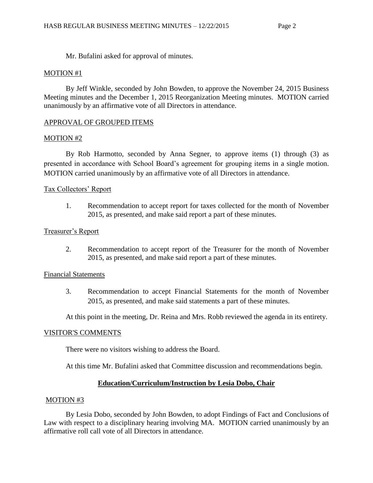Mr. Bufalini asked for approval of minutes.

# MOTION #1

By Jeff Winkle, seconded by John Bowden, to approve the November 24, 2015 Business Meeting minutes and the December 1, 2015 Reorganization Meeting minutes. MOTION carried unanimously by an affirmative vote of all Directors in attendance.

# APPROVAL OF GROUPED ITEMS

# MOTION #2

By Rob Harmotto, seconded by Anna Segner, to approve items (1) through (3) as presented in accordance with School Board's agreement for grouping items in a single motion. MOTION carried unanimously by an affirmative vote of all Directors in attendance.

# Tax Collectors' Report

1. Recommendation to accept report for taxes collected for the month of November 2015, as presented, and make said report a part of these minutes.

# Treasurer's Report

2. Recommendation to accept report of the Treasurer for the month of November 2015, as presented, and make said report a part of these minutes.

# Financial Statements

3. Recommendation to accept Financial Statements for the month of November 2015, as presented, and make said statements a part of these minutes.

At this point in the meeting, Dr. Reina and Mrs. Robb reviewed the agenda in its entirety.

# VISITOR'S COMMENTS

There were no visitors wishing to address the Board.

At this time Mr. Bufalini asked that Committee discussion and recommendations begin.

# **Education/Curriculum/Instruction by Lesia Dobo, Chair**

# MOTION #3

By Lesia Dobo, seconded by John Bowden, to adopt Findings of Fact and Conclusions of Law with respect to a disciplinary hearing involving MA. MOTION carried unanimously by an affirmative roll call vote of all Directors in attendance.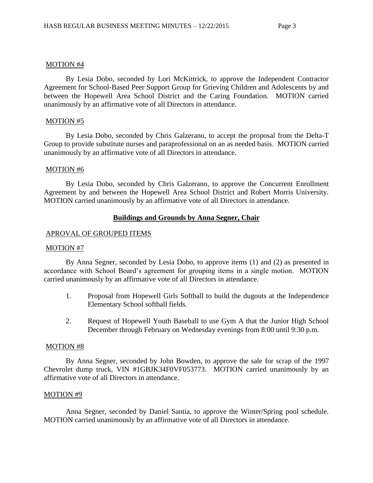### MOTION #4

By Lesia Dobo, seconded by Lori McKittrick, to approve the Independent Contractor Agreement for School-Based Peer Support Group for Grieving Children and Adolescents by and between the Hopewell Area School District and the Caring Foundation. MOTION carried unanimously by an affirmative vote of all Directors in attendance.

# MOTION #5

By Lesia Dobo, seconded by Chris Galzerano, to accept the proposal from the Delta-T Group to provide substitute nurses and paraprofessional on an as needed basis. MOTION carried unanimously by an affirmative vote of all Directors in attendance.

### MOTION #6

By Lesia Dobo, seconded by Chris Galzerano, to approve the Concurrent Enrollment Agreement by and between the Hopewell Area School District and Robert Morris University. MOTION carried unanimously by an affirmative vote of all Directors in attendance.

# **Buildings and Grounds by Anna Segner, Chair**

# APROVAL OF GROUPED ITEMS

### MOTION #7

By Anna Segner, seconded by Lesia Dobo, to approve items (1) and (2) as presented in accordance with School Board's agreement for grouping items in a single motion. MOTION carried unanimously by an affirmative vote of all Directors in attendance.

- 1. Proposal from Hopewell Girls Softball to build the dugouts at the Independence Elementary School softball fields.
- 2. Request of Hopewell Youth Baseball to use Gym A that the Junior High School December through February on Wednesday evenings from 8:00 until 9:30 p.m.

### MOTION #8

By Anna Segner, seconded by John Bowden, to approve the sale for scrap of the 1997 Chevrolet dump truck, VIN #1GBJK34F0VF053773. MOTION carried unanimously by an affirmative vote of all Directors in attendance.

# MOTION #9

Anna Segner, seconded by Daniel Santia, to approve the Winter/Spring pool schedule. MOTION carried unanimously by an affirmative vote of all Directors in attendance.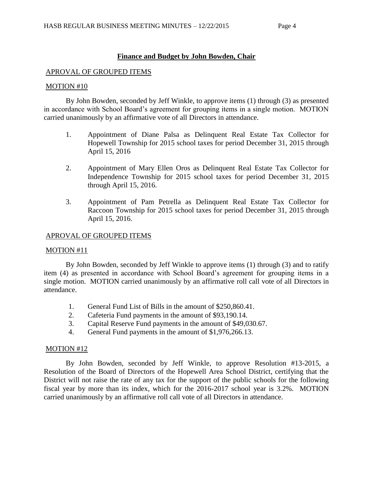# **Finance and Budget by John Bowden, Chair**

### APROVAL OF GROUPED ITEMS

### MOTION #10

By John Bowden, seconded by Jeff Winkle, to approve items (1) through (3) as presented in accordance with School Board's agreement for grouping items in a single motion. MOTION carried unanimously by an affirmative vote of all Directors in attendance.

- 1. Appointment of Diane Palsa as Delinquent Real Estate Tax Collector for Hopewell Township for 2015 school taxes for period December 31, 2015 through April 15, 2016
- 2. Appointment of Mary Ellen Oros as Delinquent Real Estate Tax Collector for Independence Township for 2015 school taxes for period December 31, 2015 through April 15, 2016.
- 3. Appointment of Pam Petrella as Delinquent Real Estate Tax Collector for Raccoon Township for 2015 school taxes for period December 31, 2015 through April 15, 2016.

### APROVAL OF GROUPED ITEMS

### MOTION #11

By John Bowden, seconded by Jeff Winkle to approve items (1) through (3) and to ratify item (4) as presented in accordance with School Board's agreement for grouping items in a single motion. MOTION carried unanimously by an affirmative roll call vote of all Directors in attendance.

- 1. General Fund List of Bills in the amount of \$250,860.41.
- 2. Cafeteria Fund payments in the amount of \$93,190.14.
- 3. Capital Reserve Fund payments in the amount of \$49,030.67.
- 4. General Fund payments in the amount of \$1,976,266.13.

### MOTION #12

By John Bowden, seconded by Jeff Winkle, to approve Resolution #13-2015, a Resolution of the Board of Directors of the Hopewell Area School District, certifying that the District will not raise the rate of any tax for the support of the public schools for the following fiscal year by more than its index, which for the 2016-2017 school year is 3.2%. MOTION carried unanimously by an affirmative roll call vote of all Directors in attendance.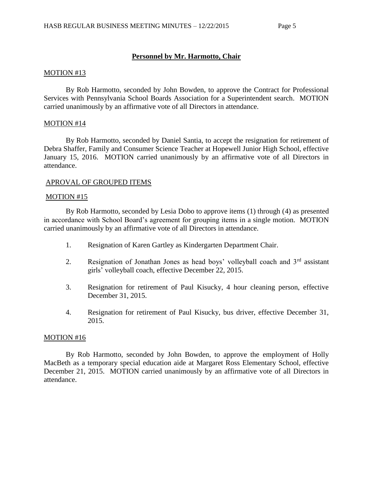### **Personnel by Mr. Harmotto, Chair**

#### MOTION #13

By Rob Harmotto, seconded by John Bowden, to approve the Contract for Professional Services with Pennsylvania School Boards Association for a Superintendent search. MOTION carried unanimously by an affirmative vote of all Directors in attendance.

#### MOTION #14

By Rob Harmotto, seconded by Daniel Santia, to accept the resignation for retirement of Debra Shaffer, Family and Consumer Science Teacher at Hopewell Junior High School, effective January 15, 2016. MOTION carried unanimously by an affirmative vote of all Directors in attendance.

#### APROVAL OF GROUPED ITEMS

#### MOTION #15

By Rob Harmotto, seconded by Lesia Dobo to approve items (1) through (4) as presented in accordance with School Board's agreement for grouping items in a single motion. MOTION carried unanimously by an affirmative vote of all Directors in attendance.

- 1. Resignation of Karen Gartley as Kindergarten Department Chair.
- 2. Resignation of Jonathan Jones as head boys' volleyball coach and  $3<sup>rd</sup>$  assistant girls' volleyball coach, effective December 22, 2015.
- 3. Resignation for retirement of Paul Kisucky, 4 hour cleaning person, effective December 31, 2015.
- 4. Resignation for retirement of Paul Kisucky, bus driver, effective December 31, 2015.

#### MOTION #16

By Rob Harmotto, seconded by John Bowden, to approve the employment of Holly MacBeth as a temporary special education aide at Margaret Ross Elementary School, effective December 21, 2015. MOTION carried unanimously by an affirmative vote of all Directors in attendance.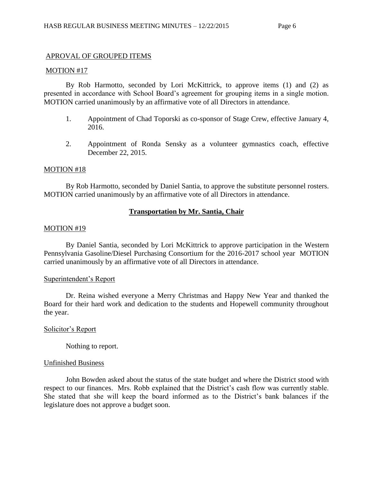### APROVAL OF GROUPED ITEMS

#### MOTION #17

By Rob Harmotto, seconded by Lori McKittrick, to approve items (1) and (2) as presented in accordance with School Board's agreement for grouping items in a single motion. MOTION carried unanimously by an affirmative vote of all Directors in attendance.

- 1. Appointment of Chad Toporski as co-sponsor of Stage Crew, effective January 4, 2016.
- 2. Appointment of Ronda Sensky as a volunteer gymnastics coach, effective December 22, 2015.

#### MOTION #18

By Rob Harmotto, seconded by Daniel Santia, to approve the substitute personnel rosters. MOTION carried unanimously by an affirmative vote of all Directors in attendance.

### **Transportation by Mr. Santia, Chair**

#### MOTION #19

By Daniel Santia, seconded by Lori McKittrick to approve participation in the Western Pennsylvania Gasoline/Diesel Purchasing Consortium for the 2016-2017 school year MOTION carried unanimously by an affirmative vote of all Directors in attendance.

### Superintendent's Report

Dr. Reina wished everyone a Merry Christmas and Happy New Year and thanked the Board for their hard work and dedication to the students and Hopewell community throughout the year.

### Solicitor's Report

Nothing to report.

### Unfinished Business

John Bowden asked about the status of the state budget and where the District stood with respect to our finances. Mrs. Robb explained that the District's cash flow was currently stable. She stated that she will keep the board informed as to the District's bank balances if the legislature does not approve a budget soon.